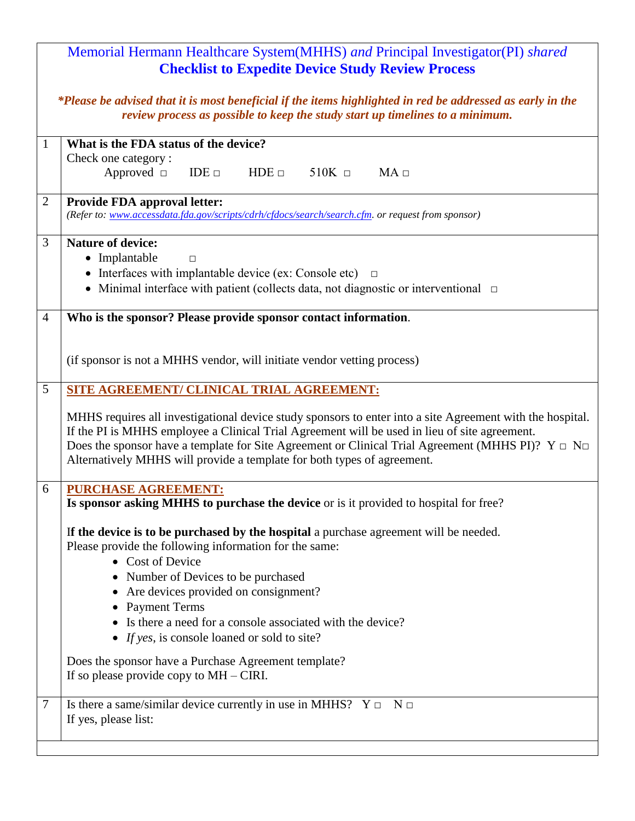| Memorial Hermann Healthcare System(MHHS) and Principal Investigator(PI) shared<br><b>Checklist to Expedite Device Study Review Process</b>                                                  |                                                                                                                                                                                                                                                                                                                                                                                                     |  |
|---------------------------------------------------------------------------------------------------------------------------------------------------------------------------------------------|-----------------------------------------------------------------------------------------------------------------------------------------------------------------------------------------------------------------------------------------------------------------------------------------------------------------------------------------------------------------------------------------------------|--|
| *Please be advised that it is most beneficial if the items highlighted in red be addressed as early in the<br>review process as possible to keep the study start up timelines to a minimum. |                                                                                                                                                                                                                                                                                                                                                                                                     |  |
| $\mathbf{1}$                                                                                                                                                                                | What is the FDA status of the device?                                                                                                                                                                                                                                                                                                                                                               |  |
|                                                                                                                                                                                             | Check one category:<br>Approved $\Box$<br>$HDE \square$<br>MA<br>$IDE \Box$<br>$510K \square$                                                                                                                                                                                                                                                                                                       |  |
| $\overline{2}$                                                                                                                                                                              | <b>Provide FDA approval letter:</b><br>(Refer to: www.accessdata.fda.gov/scripts/cdrh/cfdocs/search/search.cfm. or request from sponsor)                                                                                                                                                                                                                                                            |  |
| 3                                                                                                                                                                                           | <b>Nature of device:</b>                                                                                                                                                                                                                                                                                                                                                                            |  |
|                                                                                                                                                                                             | • Implantable<br>$\Box$<br>• Interfaces with implantable device (ex: Console etc) $\Box$                                                                                                                                                                                                                                                                                                            |  |
|                                                                                                                                                                                             | • Minimal interface with patient (collects data, not diagnostic or interventional $\Box$                                                                                                                                                                                                                                                                                                            |  |
|                                                                                                                                                                                             |                                                                                                                                                                                                                                                                                                                                                                                                     |  |
| $\overline{4}$                                                                                                                                                                              | Who is the sponsor? Please provide sponsor contact information.                                                                                                                                                                                                                                                                                                                                     |  |
|                                                                                                                                                                                             |                                                                                                                                                                                                                                                                                                                                                                                                     |  |
|                                                                                                                                                                                             | (if sponsor is not a MHHS vendor, will initiate vendor vetting process)                                                                                                                                                                                                                                                                                                                             |  |
| 5                                                                                                                                                                                           | SITE AGREEMENT/ CLINICAL TRIAL AGREEMENT:                                                                                                                                                                                                                                                                                                                                                           |  |
|                                                                                                                                                                                             | MHHS requires all investigational device study sponsors to enter into a site Agreement with the hospital.<br>If the PI is MHHS employee a Clinical Trial Agreement will be used in lieu of site agreement.<br>Does the sponsor have a template for Site Agreement or Clinical Trial Agreement (MHHS PI)? $Y \Box N \Box$<br>Alternatively MHHS will provide a template for both types of agreement. |  |
| 6                                                                                                                                                                                           | <b>PURCHASE AGREEMENT:</b><br>Is sponsor asking MHHS to purchase the device or is it provided to hospital for free?                                                                                                                                                                                                                                                                                 |  |
|                                                                                                                                                                                             | If the device is to be purchased by the hospital a purchase agreement will be needed.<br>Please provide the following information for the same:<br>• Cost of Device                                                                                                                                                                                                                                 |  |
|                                                                                                                                                                                             | • Number of Devices to be purchased                                                                                                                                                                                                                                                                                                                                                                 |  |
|                                                                                                                                                                                             | Are devices provided on consignment?                                                                                                                                                                                                                                                                                                                                                                |  |
|                                                                                                                                                                                             | <b>Payment Terms</b><br>Is there a need for a console associated with the device?                                                                                                                                                                                                                                                                                                                   |  |
|                                                                                                                                                                                             | • If yes, is console loaned or sold to site?                                                                                                                                                                                                                                                                                                                                                        |  |
|                                                                                                                                                                                             | Does the sponsor have a Purchase Agreement template?                                                                                                                                                                                                                                                                                                                                                |  |
|                                                                                                                                                                                             | If so please provide copy to $MH-CHRI$ .                                                                                                                                                                                                                                                                                                                                                            |  |
| $\overline{7}$                                                                                                                                                                              | Is there a same/similar device currently in use in MHHS? $Y \Box \neg N \Box$                                                                                                                                                                                                                                                                                                                       |  |
|                                                                                                                                                                                             | If yes, please list:                                                                                                                                                                                                                                                                                                                                                                                |  |
|                                                                                                                                                                                             |                                                                                                                                                                                                                                                                                                                                                                                                     |  |
|                                                                                                                                                                                             |                                                                                                                                                                                                                                                                                                                                                                                                     |  |